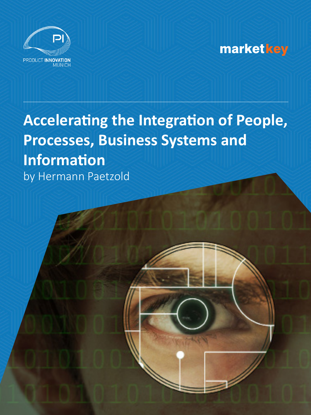

## **marketkey**

# **Accelerating the Integration of People, Processes, Business Systems and Information** by Hermann Paetzold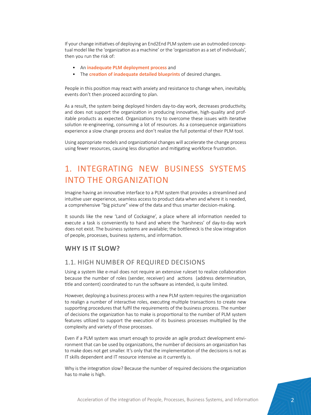If your change initiatives of deploying an End2End PLM system use an outmoded conceptual model like the 'organization as a machine' or the 'organization as a set of individuals', then you run the risk of:

- An **inadequate PLM deployment process** and
- The **creation of inadequate detailed blueprints** of desired changes.

People in this position may react with anxiety and resistance to change when, inevitably, events don't then proceed according to plan.

As a result, the system being deployed hinders day-to-day work, decreases productivity, and does not support the organization in producing innovative, high-quality and profitable products as expected. Organizations try to overcome these issues with iterative solution re-engineering, consuming a lot of resources. As a consequence organizations experience a slow change process and don't realize the full potential of their PLM tool.

Using appropriate models and organizational changes will accelerate the change process using fewer resources, causing less disruption and mitigating workforce frustration.

## 1. INTEGRATING NEW BUSINESS SYSTEMS INTO THE ORGANIZATION

Imagine having an innovative interface to a PLM system that provides a streamlined and intuitive user experience, seamless access to product data when and where it is needed, a comprehensive "big picture" view of the data and thus smarter decision-making.

It sounds like the new 'Land of Cockaigne', a place where all information needed to execute a task is conveniently to hand and where the 'harshness' of day-to-day work does not exist. The business systems are available; the bottleneck is the slow integration of people, processes, business systems, and information.

#### **WHY IS IT SLOW?**

#### 1.1. HIGH NUMBER OF REQUIRED DECISIONS

Using a system like e-mail does not require an extensive ruleset to realize collaboration because the number of roles (sender, receiver) and actions (address determination, title and content) coordinated to run the software as intended, is quite limited.

However, deploying a business process with a new PLM system requires the organization to realign a number of interactive roles, executing multiple transactions to create new supporting procedures that fulfil the requirements of the business process. The number of decisions the organization has to make is proportional to the number of PLM system features utilized to support the execution of its business processes multiplied by the complexity and variety of those processes.

Even if a PLM system was smart enough to provide an agile product development environment that can be used by organizations, the number of decisions an organization has to make does not get smaller. It's only that the implementation of the decisions is not as IT skills dependent and IT resource intensive as it currently is.

Why is the integration slow? Because the number of required decisions the organization has to make is high.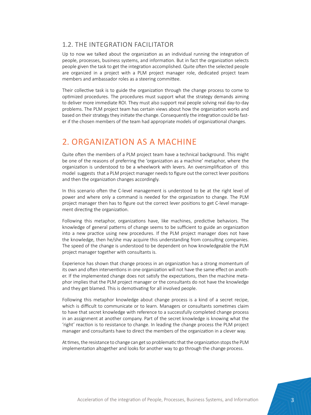#### 1.2. THE INTEGRATION FACILITATOR

Up to now we talked about the organization as an individual running the integration of people, processes, business systems, and information. But in fact the organization selects people given the task to get the integration accomplished. Quite often the selected people are organized in a project with a PLM project manager role, dedicated project team members and ambassador roles as a steering committee.

Their collective task is to guide the organization through the change process to come to optimized procedures. The procedures must support what the strategy demands aiming to deliver more immediate ROI. They must also support real people solving real day-to-day problems. The PLM project team has certain views about how the organization works and based on their strategy they initiate the change. Consequently the integration could be faster if the chosen members of the team had appropriate models of organizational changes.

## 2. ORGANIZATION AS A MACHINE

Quite often the members of a PLM project team have a technical background. This might be one of the reasons of preferring the 'organization as a machine' metaphor, where the organization is understood to be a wheelwork with levers. An oversimplification of this model suggests that a PLM project manager needs to figure out the correct lever positions and then the organization changes accordingly.

In this scenario often the C-level management is understood to be at the right level of power and where only a command is needed for the organization to change. The PLM project manager then has to figure out the correct lever positions to get C-level management directing the organization.

Following this metaphor, organizations have, like machines, predictive behaviors. The knowledge of general patterns of change seems to be sufficient to guide an organization into a new practice using new procedures. If the PLM project manager does not have the knowledge, then he/she may acquire this understanding from consulting companies. The speed of the change is understood to be dependent on how knowledgeable the PLM project manager together with consultants is.

Experience has shown that change process in an organization has a strong momentum of its own and often interventions in one organization will not have the same effect on another. If the implemented change does not satisfy the expectations, then the machine metaphor implies that the PLM project manager or the consultants do not have the knowledge and they get blamed. This is demotivating for all involved people.

Following this metaphor knowledge about change process is a kind of a secret recipe, which is difficult to communicate or to learn. Managers or consultants sometimes claim to have that secret knowledge with reference to a successfully completed change process in an assignment at another company. Part of the secret knowledge is knowing what the 'right' reaction is to resistance to change. In leading the change process the PLM project manager and consultants have to direct the members of the organization in a clever way.

At times, the resistance to change can get so problematic that the organization stops the PLM implementation altogether and looks for another way to go through the change process.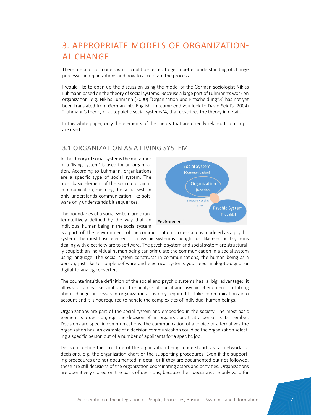## 3. APPROPRIATE MODELS OF ORGANIZATION-AL CHANGE

There are a lot of models which could be tested to get a better understanding of change processes in organizations and how to accelerate the process.

I would like to open up the discussion using the model of the German sociologist Niklas Luhmann based on the theory of social systems. Because a large part of Luhmann's work on organization (e.g. Niklas Luhmann (2000) "Organisation und Entscheidung"3) has not yet been translated from German into English, I recommend you look to David Seidl's (2004) "Luhmann's theory of autopoietic social systems"4, that describes the theory in detail.

In this white paper, only the elements of the theory that are directly related to our topic are used.

#### 3.1 ORGANIZATION AS A LIVING SYSTEM

In the theory of social systems the metaphor of a 'living system' is used for an organization. According to Luhmann, organizations are a specific type of social system. The most basic element of the social domain is communication, meaning the social system only understands communication like software only understands bit sequences.

The boundaries of a social system are counterintuitively defined by the way that an individual human being in the social system



is a part of the environment of the communication process and is modeled as a psychic system. The most basic element of a psychic system is thought just like electrical systems dealing with electricity are to software. The psychic system and social system are structurally coupled; an individual human being can stimulate the communication in a social system using language. The social system constructs in communications, the human being as a person, just like to couple software and electrical systems you need analog-to-digital or digital-to-analog converters.

The counterintuitive definition of the social and psychic systems has a big advantage; it allows for a clear separation of the analysis of social and psychic phenomena. In talking about change processes in organizations it is only required to take communications into account and it is not required to handle the complexities of individual human beings.

Organizations are part of the social system and embedded in the society. The most basic element is a decision, e.g. the decision of an organization, that a person is its member. Decisions are specific communications; the communication of a choice of alternatives the organization has. An example of a decision communication could be the organization selecting a specific person out of a number of applicants for a specific job.

Decisions define the structure of the organization being understood as a network of decisions, e.g. the organization chart or the supporting procedures. Even if the supporting procedures are not documented in detail or if they are documented but not followed, these are still decisions of the organization coordinating actors and activities. Organizations are operatively closed on the basis of decisions, because their decisions are only valid for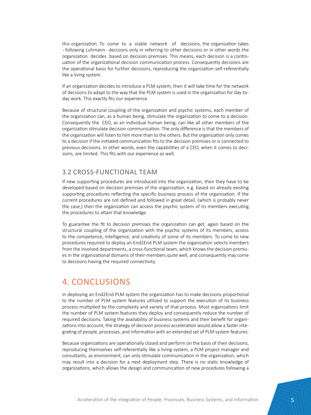this organization. To come to a stable network of decisions, the organization takes - following Luhmann - decisions only in referring to other decisions or in other words the organization decides based on decision premises. This means, each decision is a continuation of the organizational decision communication process. Consequently decisions are the operational basis for further decisions, reproducing the organization self-referentially like a living system.

If an organization decides to introduce a PLM system, then it will take time for the network of decisions to adapt to the way that the PLM system is used in the organization for day-today work. This exactly fits our experience.

Because of structural coupling of the organization and psychic systems, each member of the organization can, as a human being, stimulate the organization to come to a decision. Consequently the CEO, as an individual human being, can like all other members of the organization stimulate decision communication. The only difference is that the members of the organization will listen to him more than to the others. But the organization only comes to a decision if the initiated communication fits to the decision premises or is connected to previous decisions. In other words, even the capabilities of a CEO, when it comes to decisions, are limited. This fits with our experience as well.

#### 3.2 CROSS-FUNCTIONAL TEAM

If new supporting procedures are introduced into the organization, then they have to be developed based on decision premises of the organization, e.g. based on already existing supporting procedures reflecting the specific business process of the organization. If the current procedures are not defined and followed in great detail, (which is probably never the case,) then the organization can access the psychic system of its members executing the procedures to attain that knowledge.

To guarantee the fit to decision premises the organization can get, again based on the structural coupling of the organization with the psychic systems of its members, access to the competence, intelligence, and creativity of some of its members. To come to new procedures required to deploy an End2End PLM system the organization selects members from the involved departments, a cross-functional team, which knows the decision premises in the organizational domains of their members quite well, and consequently may come to decisions having the required connectivity.

## 4. CONCLUSIONS

In deploying an End2End PLM system the organization has to make decisions proportional to the number of PLM system features utilized to support the execution of its business process multiplied by the complexity and variety of that process. Most organizations limit the number of PLM system features they deploy and consequently reduce the number of required decisions. Taking the availability of business systems and their benefit for organizations into account, the strategy of decision process acceleration would allow a faster integrating of people, processes, and information with an extended set of PLM system features.

Because organizations are operationally closed and perform on the basis of their decisions, reproducing themselves self-referentially like a living system, a PLM project manager and consultants, as environment, can only stimulate communication in the organization, which may result into a decision for a next deployment step. There is no static knowledge of organizations, which allows the design and communication of new procedures following a